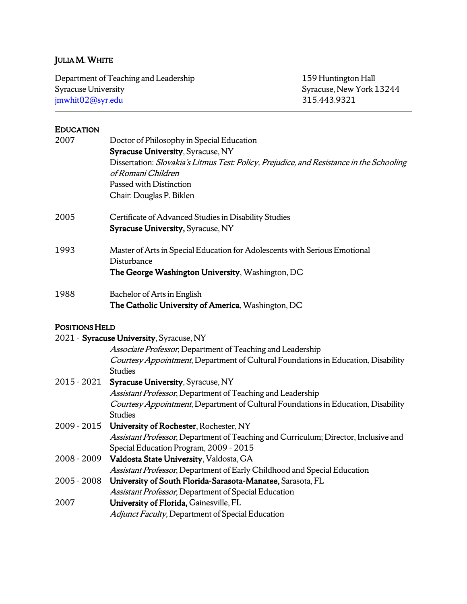# JULIA M. WHITE

| Department of Teaching and Leadership | 159 Huntington Hall      |
|---------------------------------------|--------------------------|
| Syracuse University                   | Syracuse, New York 13244 |
| jmwhit02@syr.edu                      | 315.443.9321             |

# EDUCATION

| 2007                  | Doctor of Philosophy in Special Education                                                                                     |
|-----------------------|-------------------------------------------------------------------------------------------------------------------------------|
|                       | Syracuse University, Syracuse, NY<br>Dissertation: Slovakia's Litmus Test: Policy, Prejudice, and Resistance in the Schooling |
|                       | of Romani Children                                                                                                            |
|                       | Passed with Distinction                                                                                                       |
|                       | Chair: Douglas P. Biklen                                                                                                      |
| 2005                  | Certificate of Advanced Studies in Disability Studies                                                                         |
|                       | Syracuse University, Syracuse, NY                                                                                             |
| 1993                  | Master of Arts in Special Education for Adolescents with Serious Emotional<br>Disturbance                                     |
|                       | The George Washington University, Washington, DC                                                                              |
| 1988                  | Bachelor of Arts in English                                                                                                   |
|                       | The Catholic University of America, Washington, DC                                                                            |
| <b>POSITIONS HELD</b> |                                                                                                                               |
|                       | 2021 - Syracuse University, Syracuse, NY                                                                                      |
|                       | Associate Professor, Department of Teaching and Leadership                                                                    |
|                       | Courtesy Appointment, Department of Cultural Foundations in Education, Disability<br><b>Studies</b>                           |
| 2015 - 2021           | Syracuse University, Syracuse, NY                                                                                             |
|                       | Assistant Professor, Department of Teaching and Leadership                                                                    |
|                       | Courtesy Appointment, Department of Cultural Foundations in Education, Disability                                             |
|                       | <b>Studies</b>                                                                                                                |
| 2009 - 2015           | University of Rochester, Rochester, NY                                                                                        |
|                       | Assistant Professor, Department of Teaching and Curriculum; Director, Inclusive and                                           |
|                       | Special Education Program, 2009 - 2015                                                                                        |
| 2008 - 2009           | Valdosta State University, Valdosta, GA                                                                                       |
|                       | Assistant Professor, Department of Early Childhood and Special Education                                                      |
| $2005 - 2008$         | University of South Florida-Sarasota-Manatee, Sarasota, FL                                                                    |
|                       | Assistant Professor, Department of Special Education                                                                          |
| 2007                  | University of Florida, Gainesville, FL                                                                                        |
|                       | Adjunct Faculty, Department of Special Education                                                                              |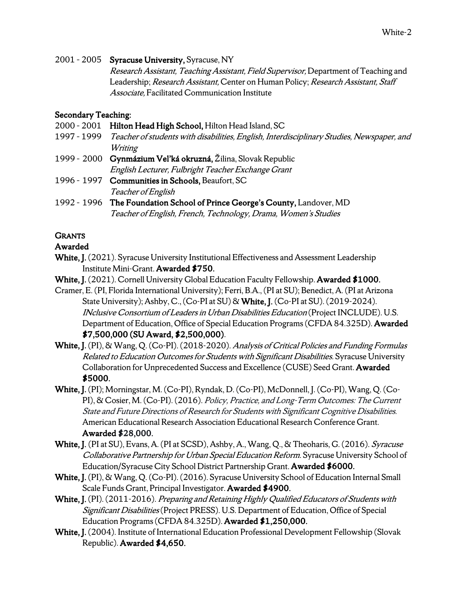2001 – 2005 Syracuse University, Syracuse, NY

Research Assistant, Teaching Assistant, Field Supervisor, Department of Teaching and Leadership; Research Assistant, Center on Human Policy; Research Assistant, Staff Associate, Facilitated Communication Institute

## Secondary Teaching:

- 2000 2001 Hilton Head High School, Hilton Head Island, SC
- 1997 1999 Teacher of students with disabilities, English, Interdisciplinary Studies, Newspaper, and **Writing**
- 1999 2000 Gynmázium Vel'ká okruzná, Žilina, Slovak Republic English Lecturer, Fulbright Teacher Exchange Grant
- 1996 1997 Communities in Schools, Beaufort, SC Teacher of English
- 1992 1996 The Foundation School of Prince George's County, Landover, MD Teacher of English, French, Technology, Drama, Women's Studies

# **GRANTS**

## Awarded

- White, J. (2021). Syracuse University Institutional Effectiveness and Assessment Leadership Institute Mini-Grant. Awarded \$750.
- White, J. (2021). Cornell University Global Education Faculty Fellowship. Awarded \$1000.
- Cramer, E. (PI, Florida International University); Ferri, B.A., (PI at SU); Benedict, A. (PI at Arizona State University); Ashby, C., (Co-PI at SU) & White, J. (Co-PI at SU). (2019-2024). INclusive Consortium of Leaders in Urban Disabilities Education (Project INCLUDE). U.S. Department of Education, Office of Special Education Programs (CFDA 84.325D). Awarded \$7,500,000 (SU Award, \$2,500,000).
- White, J. (PI), & Wang, Q. (Co-PI). (2018-2020). Analysis of Critical Policies and Funding Formulas Related to Education Outcomes for Students with Significant Disabilities. Syracuse University Collaboration for Unprecedented Success and Excellence (CUSE) Seed Grant. Awarded \$5000.
- White, J. (PI); Morningstar, M. (Co-PI), Ryndak, D. (Co-PI), McDonnell, J. (Co-PI), Wang, Q. (Co-PI), & Cosier, M. (Co-PI). (2016). Policy, Practice, and Long-Term Outcomes: The Current State and Future Directions of Research for Students with Significant Cognitive Disabilities. American Educational Research Association Educational Research Conference Grant. Awarded \$28,000.
- White, J. (PI at SU), Evans, A. (PI at SCSD), Ashby, A., Wang, Q., & Theoharis, G. (2016). Syracuse Collaborative Partnership for Urban Special Education Reform. Syracuse University School of Education/Syracuse City School District Partnership Grant. Awarded \$6000.
- White, J. (PI), & Wang, Q. (Co-PI). (2016). Syracuse University School of Education Internal Small Scale Funds Grant, Principal Investigator. Awarded \$4900.
- White, J. (PI). (2011-2016). Preparing and Retaining Highly Qualified Educators of Students with Significant Disabilities (Project PRESS). U.S. Department of Education, Office of Special Education Programs (CFDA 84.325D). Awarded \$1,250,000.
- White, J. (2004). Institute of International Education Professional Development Fellowship (Slovak Republic). Awarded \$4,650.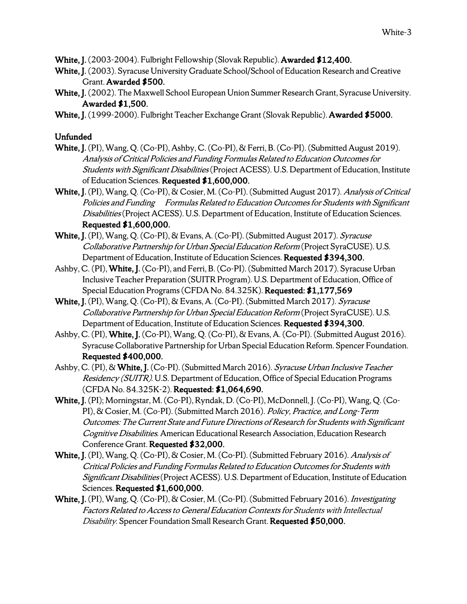White, J. (2003-2004). Fulbright Fellowship (Slovak Republic). Awarded \$12,400.

- White, J. (2003). Syracuse University Graduate School/School of Education Research and Creative Grant. Awarded \$500.
- White, J. (2002). The Maxwell School European Union Summer Research Grant, Syracuse University. Awarded \$1,500.
- White, J. (1999-2000). Fulbright Teacher Exchange Grant (Slovak Republic). Awarded \$5000.

## Unfunded

- White, J. (PI), Wang, Q. (Co-PI), Ashby, C. (Co-PI), & Ferri, B. (Co-PI). (Submitted August 2019). Analysis of Critical Policies and Funding Formulas Related to Education Outcomes for Students with Significant Disabilities(Project ACESS). U.S. Department of Education, Institute of Education Sciences. Requested \$1,600,000.
- White, J. (PI), Wang, Q. (Co-PI), & Cosier, M. (Co-PI). (Submitted August 2017). Analysis of Critical Policies and Funding Formulas Related to Education Outcomes for Students with Significant Disabilities(Project ACESS). U.S. Department of Education, Institute of Education Sciences. Requested \$1,600,000.
- White, J. (PI), Wang, Q. (Co-PI), & Evans, A. (Co-PI). (Submitted August 2017). Syracuse Collaborative Partnership for Urban Special Education Reform (Project SyraCUSE). U.S. Department of Education, Institute of Education Sciences. Requested \$394,300.
- Ashby, C. (PI), White, J. (Co-PI), and Ferri, B. (Co-PI). (Submitted March 2017). Syracuse Urban Inclusive Teacher Preparation (SUITR Program). U.S. Department of Education, Office of Special Education Programs (CFDA No. 84.325K). Requested: \$1,177,569
- White, J. (PI), Wang, Q. (Co-PI), & Evans, A. (Co-PI). (Submitted March 2017). Syracuse Collaborative Partnership for Urban Special Education Reform (Project SyraCUSE). U.S. Department of Education, Institute of Education Sciences. Requested \$394,300.
- Ashby, C. (PI), White, J. (Co-PI), Wang, Q. (Co-PI), & Evans, A. (Co-PI).(Submitted August 2016). Syracuse Collaborative Partnership for Urban Special Education Reform. Spencer Foundation. Requested \$400,000.
- Ashby, C. (PI), & White, J. (Co-PI). (Submitted March 2016). Syracuse Urban Inclusive Teacher Residency (SUITR). U.S. Department of Education, Office of Special Education Programs (CFDA No. 84.325K-2). Requested: \$1,064,690.
- White, J. (PI); Morningstar, M. (Co-PI), Ryndak, D. (Co-PI), McDonnell, J. (Co-PI), Wang, Q. (Co-PI), & Cosier, M. (Co-PI). (Submitted March 2016). Policy, Practice, and Long-Term Outcomes: The Current State and Future Directions of Research for Students with Significant Cognitive Disabilities. American Educational Research Association, Education Research Conference Grant. Requested \$32,000.
- White, J. (PI), Wang, Q. (Co-PI), & Cosier, M. (Co-PI). (Submitted February 2016). Analysis of Critical Policies and Funding Formulas Related to Education Outcomes for Students with Significant Disabilities (Project ACESS). U.S. Department of Education, Institute of Education Sciences. Requested \$1,600,000.
- White, J. (PI), Wang, Q. (Co-PI), & Cosier, M. (Co-PI). (Submitted February 2016). Investigating Factors Related to Access to General Education Contexts for Students with Intellectual Disability. Spencer Foundation Small Research Grant. Requested \$50,000.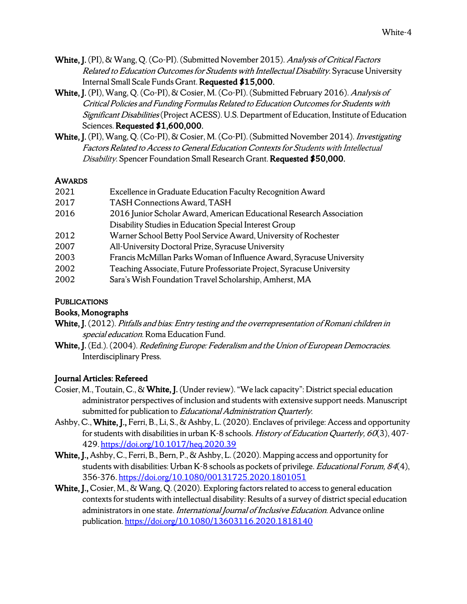- White, J. (PI), & Wang, Q. (Co-PI). (Submitted November 2015). Analysis of Critical Factors Related to Education Outcomes for Students with Intellectual Disability. Syracuse University Internal Small Scale Funds Grant. Requested \$15,000.
- White, J. (PI), Wang, O. (Co-PI), & Cosier, M. (Co-PI). (Submitted February 2016). Analysis of Critical Policies and Funding Formulas Related to Education Outcomes for Students with Significant Disabilities (Project ACESS). U.S. Department of Education, Institute of Education Sciences. Requested \$1,600,000.
- White, J. (PI), Wang, Q. (Co-PI), & Cosier, M. (Co-PI). (Submitted November 2014). Investigating Factors Related toAccess to General Education Contexts for Students with Intellectual Disability. Spencer Foundation Small Research Grant. Requested \$50,000.

#### AWARDS

| 2021 | Excellence in Graduate Education Faculty Recognition Award            |
|------|-----------------------------------------------------------------------|
| 2017 | <b>TASH Connections Award, TASH</b>                                   |
| 2016 | 2016 Junior Scholar Award, American Educational Research Association  |
|      | Disability Studies in Education Special Interest Group                |
| 2012 | Warner School Betty Pool Service Award, University of Rochester       |
| 2007 | All-University Doctoral Prize, Syracuse University                    |
| 2003 | Francis McMillan Parks Woman of Influence Award, Syracuse University  |
| 2002 | Teaching Associate, Future Professoriate Project, Syracuse University |
| 2002 | Sara's Wish Foundation Travel Scholarship, Amherst, MA                |

## **PUBLICATIONS**

## Books, Monographs

White, J. (2012). Pitfalls and bias: Entry testing and the overrepresentation of Romani children in special education. Roma Education Fund.

White, J. (Ed.). (2004). Redefining Europe: Federalism and the Union of European Democracies. Interdisciplinary Press.

## Journal Articles: Refereed

- Cosier, M., Toutain, C., & White, J. (Under review). "We lack capacity": District special education administrator perspectives of inclusion and students with extensive support needs. Manuscript submitted for publication to Educational Administration Quarterly.
- Ashby, C., White, J., Ferri, B., Li, S., & Ashby, L. (2020). Enclaves of privilege: Access and opportunity for students with disabilities in urban K-8 schools. *History of Education Quarterly, 60*(3), 407-429. https://doi.org/10.1017/heq.2020.39
- White, J., Ashby, C., Ferri, B., Bern, P., & Ashby, L. (2020). Mapping access and opportunity for students with disabilities: Urban K-8 schools as pockets of privilege. *Educational Forum*, 84(4), 356-376. https://doi.org/10.1080/00131725.2020.1801051
- White, J., Cosier, M., & Wang, Q. (2020). Exploring factors related to access to general education contexts for students with intellectual disability: Results of a survey of district special education administrators in one state. International Journal of Inclusive Education. Advance online publication. https://doi.org/10.1080/13603116.2020.1818140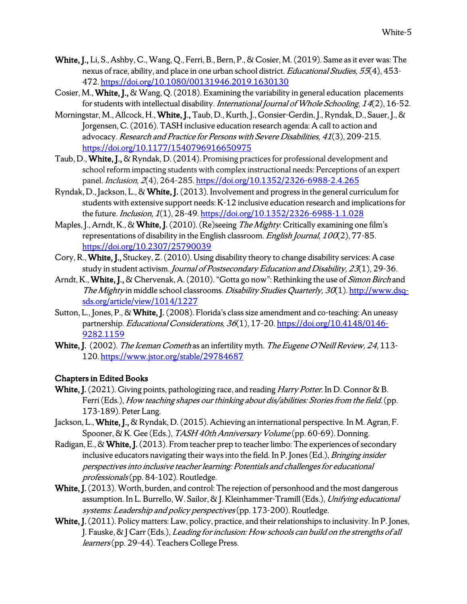- White, J., Li, S., Ashby, C., Wang, Q., Ferri, B., Bern, P., & Cosier, M. (2019). Same as it ever was: The nexus of race, ability, and place in one urban school district. Educational Studies, 55(4), 453-472. https://doi.org/10.1080/00131946.2019.1630130
- Cosier, M., White, J., & Wang, Q. (2018). Examining the variability in general education placements for students with intellectual disability. *International Journal of Whole Schooling*, 14(2), 16-52.
- Morningstar, M., Allcock, H., White, J., Taub, D., Kurth, J., Gonsier-Gerdin, J., Ryndak, D., Sauer, J., & Jorgensen, C. (2016). TASH inclusive education research agenda: A call to action and advocacy. Research and Practice for Persons with Severe Disabilities, 41(3), 209-215. https://doi.org/10.1177/1540796916650975
- Taub, D., White, J., & Ryndak, D. (2014). Promising practices for professional development and school reform impacting students with complex instructional needs: Perceptions of an expert panel. Inclusion, 2(4), 264-285. https://doi.org/10.1352/2326-6988-2.4.265
- Ryndak, D., Jackson, L., & White, J. (2013). Involvement and progress in the general curriculum for students with extensive support needs: K-12 inclusive education research and implications for the future. *Inclusion*, 1(1), 28-49. https://doi.org/10.1352/2326-6988-1.1.028
- Maples, J., Arndt, K., & White, J. (2010). (Re)seeing *The Mighty*: Critically examining one film's representations of disability in the English classroom. English Journal,  $100(2)$ , 77-85. https://doi.org/10.2307/25790039
- Cory, R., White, J., Stuckey, Z. (2010). Using disability theory to change disability services: A case study in student activism. Journal of Postsecondary Education and Disability, 23(1), 29-36.
- Arndt, K., White, J., & Chervenak, A. (2010). "Gotta go now": Rethinking the use of *Simon Birch* and The Mighty in middle school classrooms. *Disability Studies Quarterly, 30*(1). http://www.dsqsds.org/article/view/1014/1227
- Sutton, L., Jones, P., & White, J. (2008). Florida's class size amendment and co-teaching: An uneasy partnership. Educational Considerations, 36(1), 17-20. https://doi.org/10.4148/0146-9282.1159
- White, J. (2002). The Iceman Cometh as an infertility myth. The Eugene O'Neill Review, 24, 113-120. https://www.jstor.org/stable/29784687

## Chapters in Edited Books

- White, J. (2021). Giving points, pathologizing race, and reading *Harry Potter*. In D. Connor & B. Ferri (Eds.), How teaching shapes our thinking about dis/abilities: Stories from the field. (pp. 173-189). Peter Lang.
- Jackson, L., White, J., & Ryndak, D. (2015). Achieving an international perspective. In M. Agran, F. Spooner, & K. Gee (Eds.), TASH 40th Anniversary Volume (pp. 60-69). Donning.
- Radigan, E., & White, J. (2013). From teacher prep to teacher limbo: The experiences of secondary inclusive educators navigating their ways into the field. In P. Jones (Ed.), *Bringing insider* perspectives into inclusive teacher learning: Potentials and challenges for educational professionals(pp. 84-102). Routledge.
- White, J. (2013). Worth, burden, and control: The rejection of personhood and the most dangerous assumption. In L. Burrello, W. Sailor, & J. Kleinhammer-Tramill (Eds.), Unifying educational systems: Leadership and policy perspectives (pp. 173-200). Routledge.
- White, J. (2011). Policy matters: Law, policy, practice, and their relationships to inclusivity. In P. Jones, J. Fauske, & J Carr (Eds.), Leading for inclusion: How schools can build on the strengths of all learners(pp. 29-44). Teachers College Press.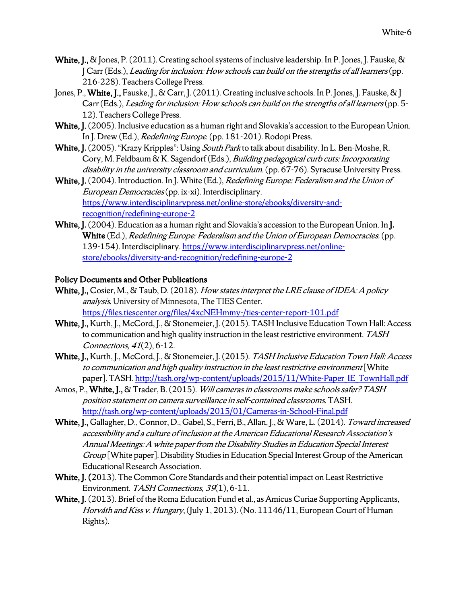- White, J., & Jones, P. (2011). Creating school systems of inclusive leadership. In P. Jones, J. Fauske, & J Carr (Eds.), Leading for inclusion: How schools can build on the strengths of all learners(pp. 216-228). Teachers College Press.
- Jones, P., White, J., Fauske, J., & Carr, J. (2011). Creating inclusive schools. In P. Jones, J. Fauske, & J. Carr (Eds.), Leading for inclusion: How schools can build on the strengths of all learners (pp. 5-12). Teachers College Press.
- White, J. (2005). Inclusive education as a human right and Slovakia's accession to the European Union. In J. Drew (Ed.), Redefining Europe. (pp. 181-201). Rodopi Press.
- White, J. (2005). "Krazy Kripples": Using South Park to talk about disability. In L. Ben-Moshe, R. Cory, M. Feldbaum & K. Sagendorf (Eds.), Building pedagogical curb cuts: Incorporating disability in the university classroom and curriculum. (pp. 67-76). Syracuse University Press.
- White, J. (2004). Introduction. In J. White (Ed.), *Redefining Europe: Federalism and the Union of* European Democracies(pp. ix-xi). Interdisciplinary. https://www.interdisciplinarypress.net/online-store/ebooks/diversity-andrecognition/redefining-europe-2
- White, J. (2004). Education as a human right and Slovakia's accession to the European Union. In J. White (Ed.), *Redefining Europe: Federalism and the Union of European Democracies.* (pp. 139-154). Interdisciplinary. https://www.interdisciplinarypress.net/onlinestore/ebooks/diversity-and-recognition/redefining-europe-2

#### Policy Documents and Other Publications

- White, J., Cosier, M., & Taub, D. (2018). How states interpret the LRE clause of IDEA: A policy analysis. University of Minnesota, The TIES Center. https://files.tiescenter.org/files/4xcNEHmmy-/ties-center-report-101.pdf
- White, J., Kurth, J., McCord, J., & Stonemeier, J. (2015). TASH Inclusive Education Town Hall: Access to communication and high quality instruction in the least restrictive environment. TASH Connections, 41(2), 6-12.
- White, J., Kurth, J., McCord, J., & Stonemeier, J. (2015). TASH Inclusive Education Town Hall: Access to communication and high quality instruction in the least restrictive environment[White paper]. TASH. http://tash.org/wp-content/uploads/2015/11/White-Paper\_IE\_TownHall.pdf
- Amos, P., White, J., & Trader, B. (2015). Will cameras in classrooms make schools safer? TASH position statement on camera surveillance in self-contained classrooms. TASH. http://tash.org/wp-content/uploads/2015/01/Cameras-in-School-Final.pdf
- White, J., Gallagher, D., Connor, D., Gabel, S., Ferri, B., Allan, J., & Ware, L. (2014). Toward increased accessibility and a culture of inclusion at the American Educational Research Association's Annual Meetings: A white paper from the Disability Studies in Education Special Interest Group [White paper]. Disability Studies in Education Special Interest Group of the American Educational Research Association.
- White, J. (2013). The Common Core Standards and their potential impact on Least Restrictive Environment. TASH Connections, 39(1), 6-11.
- White, J. (2013). Brief of the Roma Education Fund et al., as Amicus Curiae Supporting Applicants, Horváth and Kiss v. Hungary, (July 1, 2013). (No. 11146/11, European Court of Human Rights).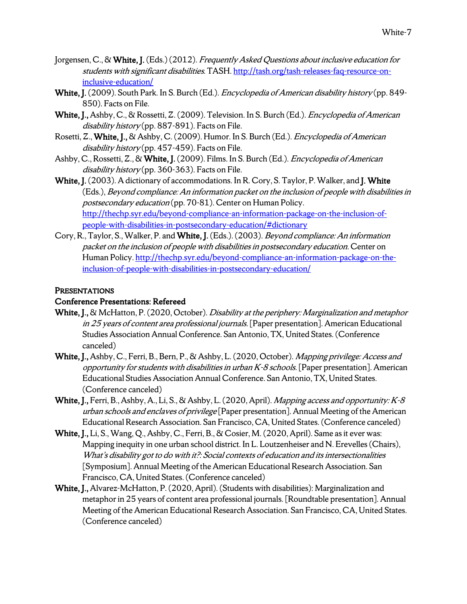- Jorgensen, C., & White, J. (Eds.) (2012). Frequently Asked Questions about inclusive education for students with significant disabilities. TASH. http://tash.org/tash-releases-faq-resource-oninclusive-education/
- White, J. (2009). South Park. In S. Burch (Ed.). *Encyclopedia of American disability history* (pp. 849-850). Facts on File.
- White, J., Ashby, C., & Rossetti, Z. (2009). Television. In S. Burch (Ed.). *Encyclopedia of American* disability history (pp. 887-891). Facts on File.
- Rosetti, Z., White, J., & Ashby, C. (2009). Humor. In S. Burch (Ed.). *Encyclopedia of American* disability history (pp. 457-459). Facts on File.
- Ashby, C., Rossetti, Z., & White, J. (2009). Films. In S. Burch (Ed.). *Encyclopedia of American* disability history (pp. 360-363). Facts on File.
- White, J. (2003). A dictionary of accommodations. In R. Cory, S. Taylor, P. Walker, and J. White (Eds.), Beyond compliance: An information packet on the inclusion of people with disabilities in postsecondary education (pp. 70-81). Center on Human Policy. http://thechp.syr.edu/beyond-compliance-an-information-package-on-the-inclusion-ofpeople-with-disabilities-in-postsecondary-education/#dictionary
- Cory, R., Taylor, S., Walker, P. and White, J. (Eds.). (2003). Beyond compliance: An information packet on the inclusion of people with disabilities in postsecondary education. Center on Human Policy. http://thechp.syr.edu/beyond-compliance-an-information-package-on-theinclusion-of-people-with-disabilities-in-postsecondary-education/

## **PRESENTATIONS**

#### Conference Presentations: Refereed

- White, I., & McHatton, P. (2020, October). Disability at the periphery: Marginalization and metaphor in 25 years of content area professional journals. [Paper presentation]. American Educational Studies Association Annual Conference. San Antonio, TX, United States. (Conference canceled)
- White, J., Ashby, C., Ferri, B., Bern, P., & Ashby, L. (2020, October). Mapping privilege: Access and opportunity for students with disabilities in urban  $K$ -8 schools. [Paper presentation]. American Educational Studies Association Annual Conference. San Antonio, TX, United States. (Conference canceled)
- White, J., Ferri, B., Ashby, A., Li, S., & Ashby, L. (2020, April). *Mapping access and opportunity: K-8* urban schools and enclaves of privilege [Paper presentation]. Annual Meeting of the American Educational Research Association. San Francisco, CA, United States.(Conference canceled)
- White, J., Li, S., Wang, Q., Ashby, C., Ferri, B., & Cosier, M. (2020, April). Same as it ever was: Mapping inequity in one urban school district. In L. Loutzenheiser and N. Erevelles (Chairs), What's disability got to do with it?: Social contexts of education and its intersectionalities [Symposium]. Annual Meeting of the American Educational Research Association. San Francisco, CA, United States. (Conference canceled)
- White, J., Alvarez-McHatton, P. (2020, April). (Students with disabilities): Marginalization and metaphor in 25 years of content area professional journals. [Roundtable presentation]. Annual Meeting of the American Educational Research Association. San Francisco, CA, United States. (Conference canceled)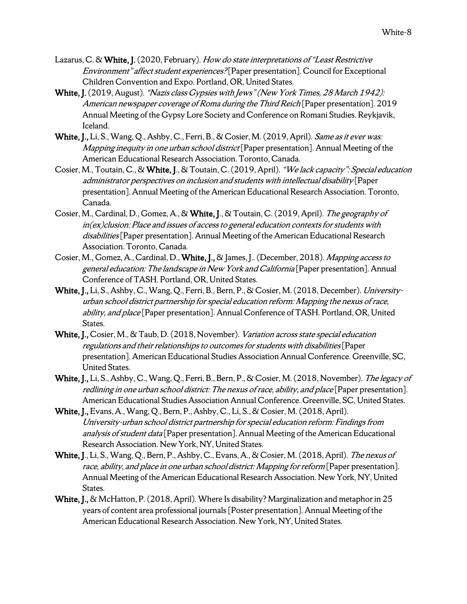- Lazarus, C. & White, J. (2020, February). How do state interpretations of "Least Restrictive Environment" affect student experiences? [Paper presentation]. Council for Exceptional Children Convention and Expo. Portland, OR, United States.
- White, J. (2019, August). "Nazis class Gypsies with Jews" (New York Times, 28 March 1942): American newspaper coverage of Roma during the Third Reich [Paper presentation]. 2019 Annual Meeting of the Gypsy Lore Society and Conference on Romani Studies. Reykjavik, Iceland.
- White, J., Li, S., Wang, Q., Ashby, C., Ferri, B., & Cosier, M. (2019, April). Same as it ever was: Mapping inequity in one urban school district [Paper presentation]. Annual Meeting of the American Educational Research Association. Toronto, Canada.
- Cosier, M., Toutain, C., & White, J., & Toutain, C. (2019, April). "We lack capacity": Special education administrator perspectives on inclusion and students with intellectual disability [Paper presentation]. Annual Meeting of the American Educational Research Association. Toronto, Canada.
- Cosier, M., Cardinal, D., Gomez, A., & White, J., & Toutain, C. (2019, April). The geography of in(ex)clusion: Place and issues of access to general education contexts for students with disabilities<sup>[Paper presentation].</sup> Annual Meeting of the American Educational Research Association. Toronto, Canada.
- Cosier, M., Gomez, A., Cardinal, D., White, J., & James, J.. (December, 2018). Mapping access to general education: The landscape in New York and California [Paper presentation]. Annual Conference of TASH. Portland, OR, United States.
- White, J., Li, S., Ashby, C., Wang, Q., Ferri, B., Bern, P., & Cosier, M. (2018, December). Universityurban school district partnership for special education reform: Mapping the nexus of race, ability, and place [Paper presentation]. Annual Conference of TASH. Portland, OR, United States.
- White, J., Cosier, M., & Taub, D. (2018, November). Variation across state special education regulations and their relationships to outcomes for students with disabilities[Paper presentation]. American Educational Studies Association Annual Conference. Greenville, SC, United States.
- White, J., Li, S., Ashby, C., Wang, Q., Ferri, B., Bern, P., & Cosier, M. (2018, November). The legacy of redlining in one urban school district: The nexus of race, ability, and place [Paper presentation]. American Educational Studies Association Annual Conference. Greenville, SC, United States.
- White, J., Evans, A., Wang, Q., Bern, P., Ashby, C., Li, S., & Cosier, M. (2018, April). University-urban school district partnership for special education reform: Findings from analysis of student data [Paper presentation]. Annual Meeting of the American Educational Research Association. New York, NY, United States.
- White, J., Li, S., Wang, Q., Bern, P., Ashby, C., Evans, A., & Cosier, M. (2018, April). The nexus of race, ability, and place in one urban school district: Mapping for reform [Paper presentation]. Annual Meeting of the American Educational Research Association. New York, NY, United States.
- White, J., & McHatton, P. (2018, April). Where Is disability? Marginalization and metaphor in 25 years of content area professional journals[Poster presentation]. Annual Meeting of the American Educational Research Association. New York, NY, United States.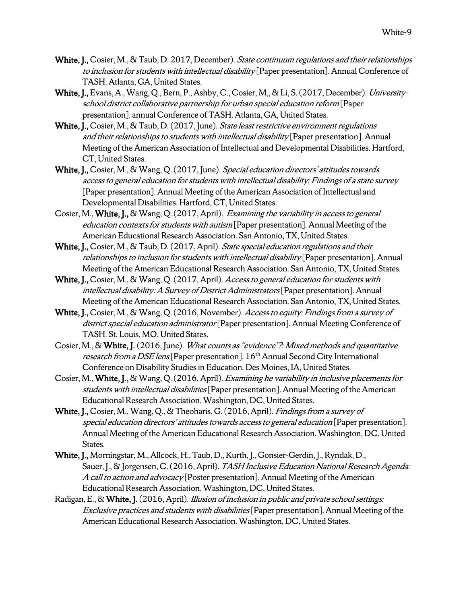- White, J., Cosier, M., & Taub, D. 2017, December). State continuum regulations and their relationships to inclusion for students with intellectual disability [Paper presentation]. Annual Conference of TASH. Atlanta, GA, United States.
- White, J., Evans, A., Wang, Q., Bern, P., Ashby, C., Cosier, M,, & Li, S. (2017, December). Universityschool district collaborative partnership for urban special education reform [Paper presentation]. annual Conference of TASH. Atlanta, GA, United States.
- White, J., Cosier, M., & Taub, D. (2017, June). State least restrictive environment regulations and their relationships to students with intellectual disability [Paper presentation]. Annual Meeting of the American Association of Intellectual and Developmental Disabilities. Hartford, CT, United States.
- White, J., Cosier, M., & Wang, Q. (2017, June). Special education directors' attitudes towards access to general education for students with intellectual disability: Findings of a state survey [Paper presentation]. Annual Meeting of the American Association of Intellectual and Developmental Disabilities. Hartford, CT, United States.
- Cosier, M., White, J., & Wang, Q. (2017, April). Examining the variability in access to general education contexts for students with autism [Paper presentation]. Annual Meeting of the American Educational Research Association. San Antonio, TX, United States.
- White, J., Cosier, M., & Taub, D. (2017, April). State special education regulations and their relationships to inclusion for students with intellectual disability [Paper presentation]. Annual Meeting of the American Educational Research Association. San Antonio, TX, United States.
- White, J., Cosier, M., & Wang, Q. (2017, April). Access to general education for students with intellectual disability: A Survey of District Administrators [Paper presentation]. Annual Meeting of the American Educational Research Association. San Antonio, TX, United States.
- White, J., Cosier, M., & Wang, Q. (2016, November). Access to equity: Findings from a survey of district special education administrator<sup>[</sup>Paper presentation]. Annual Meeting Conference of TASH. St. Louis, MO, United States.
- Cosier, M., & White, J. (2016, June). What counts as "evidence"?: Mixed methods and quantitative research from a DSE lens [Paper presentation]. 16<sup>th</sup> Annual Second City International Conference on Disability Studies in Education. Des Moines, IA, United States.
- Cosier, M., White, J., & Wang, Q.(2016, April). Examining he variability in inclusive placements for students with intellectual disabilities [Paper presentation]. Annual Meeting of the American Educational Research Association. Washington, DC, United States.
- White, J., Cosier, M., Wang, Q., & Theoharis, G. (2016, April). Findings from a survey of special education directors' attitudes towards access to general education [Paper presentation]. Annual Meeting of the American Educational Research Association. Washington, DC, United States.
- White, J., Morningstar, M., Allcock, H., Taub, D., Kurth, J., Gonsier-Gerdin, J., Ryndak, D., Sauer, J., & Jorgensen, C. (2016, April). TASH Inclusive Education National Research Agenda: A call to action and advocacy [Poster presentation]. Annual Meeting of the American Educational Research Association. Washington, DC, United States.
- Radigan, E., & White, J. (2016, April). Illusion of inclusion in public and private school settings: Exclusive practices and students with disabilities[Paper presentation]. Annual Meeting of the American Educational Research Association. Washington, DC, United States.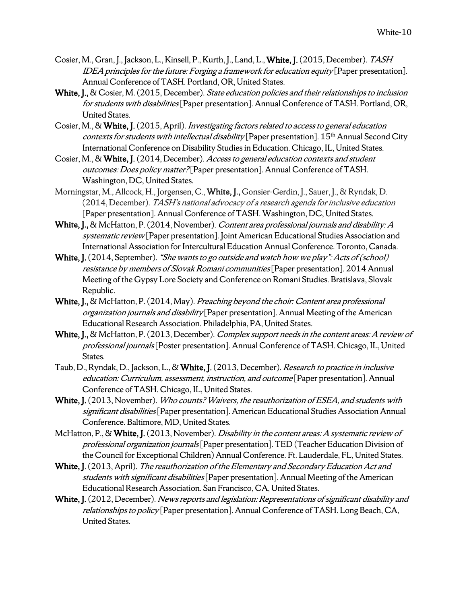- Cosier, M., Gran, J., Jackson, L., Kinsell, P., Kurth, J., Land, L., White, J. (2015, December). TASH IDEA principles for the future: Forging a framework for education equity [Paper presentation]. Annual Conference of TASH. Portland, OR, United States.
- White, J., & Cosier, M. (2015, December). State education policies and their relationships to inclusion for students with disabilities [Paper presentation]. Annual Conference of TASH. Portland, OR, United States.
- Cosier, M., & White, J. (2015, April). Investigating factors related to access to general education *contexts for students with intellectual disability* [Paper presentation].  $15<sup>th</sup>$  Annual Second City International Conference on Disability Studies in Education. Chicago, IL, United States.
- Cosier, M., & White, J. (2014, December). Access to general education contexts and student outcomes: Does policy matter? [Paper presentation]. Annual Conference of TASH. Washington, DC, United States.
- Morningstar, M., Allcock, H., Jorgensen, C., White, J., Gonsier-Gerdin, J., Sauer, J., & Ryndak, D. (2014, December). TASH's national advocacy of a research agenda for inclusive education [Paper presentation]. Annual Conference of TASH. Washington, DC, United States.
- White, J., & McHatton, P. (2014, November). Content area professional journals and disability: A systematic review [Paper presentation]. Joint American Educational Studies Association and International Association for Intercultural Education Annual Conference. Toronto, Canada.
- White, J. (2014, September). "She wants to go outside and watch how we play": Acts of (school) resistance by members of Slovak Romani communities<sup>[Paper presentation]</sup>. 2014 Annual Meeting of the Gypsy Lore Society and Conference on Romani Studies. Bratislava, Slovak Republic.
- White, J., & McHatton, P. (2014, May). Preaching beyond the choir: Content area professional organization journals and disability [Paper presentation]. Annual Meeting of the American Educational Research Association. Philadelphia, PA, United States.
- White, J., & McHatton, P. (2013, December). Complex support needs in the content areas: A review of professional journals[Poster presentation]. Annual Conference of TASH. Chicago, IL, United States.
- Taub, D., Ryndak, D., Jackson, L., & White, J. (2013, December). Research to practice in inclusive education: Curriculum, assessment, instruction, and outcome [Paper presentation]. Annual Conference of TASH. Chicago, IL, United States.
- White, J. (2013, November). Who counts? Waivers, the reauthorization of ESEA, and students with significant disabilities [Paper presentation]. American Educational Studies Association Annual Conference. Baltimore, MD, United States.
- McHatton, P., & White, J. (2013, November). Disability in the content areas: A systematic review of professional organization journals[Paper presentation]. TED (Teacher Education Division of the Council for Exceptional Children) Annual Conference. Ft. Lauderdale, FL, United States.
- White, J. (2013, April). The reauthorization of the Elementary and Secondary Education Act and students with significant disabilities<sup>[Paper presentation]</sup>. Annual Meeting of the American Educational Research Association. San Francisco, CA, United States.
- White, J. (2012, December). News reports and legislation: Representations of significant disability and relationships to policy [Paper presentation]. Annual Conference of TASH. Long Beach, CA, United States.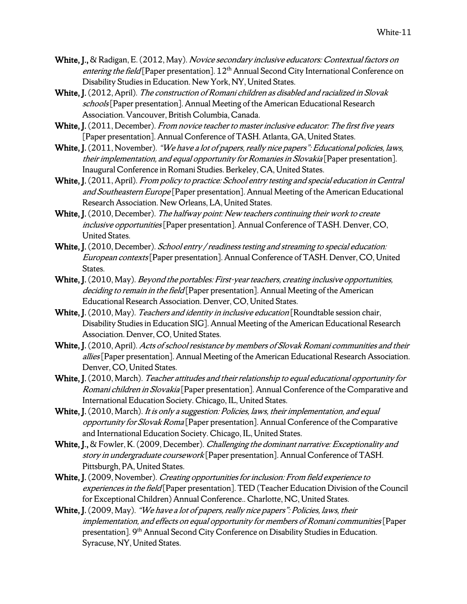- White, J., & Radigan, E. (2012, May). Novice secondary inclusive educators: Contextual factors on entering the field [Paper presentation].  $12<sup>th</sup>$  Annual Second City International Conference on Disability Studies in Education. New York, NY, United States.
- White, J. (2012, April). The construction of Romani children as disabled and racialized in Slovak schools<sup>[Paper presentation].</sup> Annual Meeting of the American Educational Research Association. Vancouver, British Columbia, Canada.
- White, J. (2011, December). From novice teacher to master inclusive educator: The first five years [Paper presentation]. Annual Conference of TASH. Atlanta, GA, United States.
- White, J. (2011, November). "We have a lot of papers, really nice papers": Educational policies, laws, their implementation, and equal opportunity for Romanies in Slovakia [Paper presentation]. Inaugural Conference in Romani Studies. Berkeley, CA, United States.
- White, J. (2011, April). *From policy to practice: School entry testing and special education in Central* and Southeastern Europe [Paper presentation]. Annual Meeting of the American Educational Research Association. New Orleans, LA, United States.
- White, J. (2010, December). The halfway point: New teachers continuing their work to create inclusive opportunities[Paper presentation]. Annual Conference of TASH. Denver, CO, United States.
- White, J. (2010, December). School entry / readiness testing and streaming to special education: European contexts[Paper presentation]. Annual Conference of TASH. Denver, CO, United States.
- White, J. (2010, May). *Beyond the portables: First-year teachers, creating inclusive opportunities,* deciding to remain in the field [Paper presentation]. Annual Meeting of the American Educational Research Association. Denver, CO, United States.
- White, J. (2010, May). Teachers and identity in inclusive education [Roundtable session chair, Disability Studies in Education SIG]. Annual Meeting of the American Educational Research Association. Denver, CO, United States.
- White, J. (2010, April). Acts of school resistance by members of Slovak Romani communities and their allies [Paper presentation]. Annual Meeting of the American Educational Research Association. Denver, CO, United States.
- White, J. (2010, March). Teacher attitudes and their relationship to equal educational opportunity for Romani children in Slovakia [Paper presentation]. Annual Conference of the Comparative and International Education Society. Chicago, IL, United States.
- White, J. (2010, March). It is only a suggestion: Policies, laws, their implementation, and equal opportunity for Slovak Roma [Paper presentation]. Annual Conference of the Comparative and International Education Society. Chicago, IL, United States.
- White, J., & Fowler, K. (2009, December). *Challenging the dominant narrative: Exceptionality and* story in undergraduate coursework [Paper presentation]. Annual Conference of TASH. Pittsburgh, PA, United States.
- White, J. (2009, November). *Creating opportunities for inclusion: From field experience to* experiences in the field [Paper presentation]. TED (Teacher Education Division of the Council for Exceptional Children) Annual Conference.. Charlotte, NC, United States.
- White, J. (2009, May). "We have a lot of papers, really nice papers": Policies, laws, their implementation, and effects on equal opportunity for members of Romani communities[Paper presentation]. 9<sup>th</sup> Annual Second City Conference on Disability Studies in Education. Syracuse, NY, United States.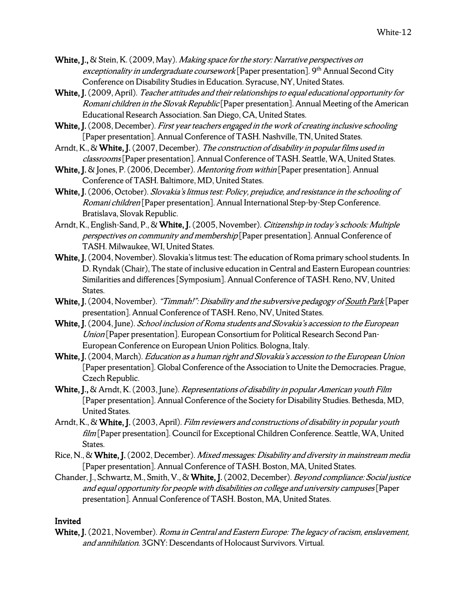- White, J., & Stein, K. (2009, May). *Making space for the story: Narrative perspectives on* exceptionality in undergraduate coursework [Paper presentation]. 9<sup>th</sup> Annual Second City Conference on Disability Studies in Education. Syracuse, NY, United States.
- White, J. (2009, April). Teacher attitudes and their relationships to equal educational opportunity for Romani children in the Slovak Republic [Paper presentation]. Annual Meeting of the American Educational Research Association. San Diego, CA, United States.
- White, J. (2008, December). First year teachers engaged in the work of creating inclusive schooling [Paper presentation]. Annual Conference of TASH. Nashville, TN, United States.
- Arndt, K., & White, J. (2007, December). The construction of disability in popular films used in classrooms [Paper presentation]. Annual Conference of TASH. Seattle, WA, United States.
- White, J. & Jones, P. (2006, December). *Mentoring from within* [Paper presentation]. Annual Conference of TASH. Baltimore, MD, United States.
- White, J. (2006, October). Slovakia's litmus test: Policy, prejudice, and resistance in the schooling of Romani children [Paper presentation]. Annual International Step-by-Step Conference. Bratislava, Slovak Republic.
- Arndt, K., English-Sand, P., & White, J. (2005, November). Citizenship in today's schools: Multiple perspectives on community and membership [Paper presentation]. Annual Conference of TASH. Milwaukee, WI, United States.
- White, J. (2004, November). Slovakia's litmus test: The education of Roma primary school students. In D. Ryndak (Chair), The state of inclusive education in Central and Eastern European countries: Similarities and differences[Symposium]. Annual Conference of TASH. Reno, NV, United States.
- White, J. (2004, November). "Timmah!": Disability and the subversive pedagogy of South Park [Paper presentation]. Annual Conference of TASH. Reno, NV, United States.
- White, J. (2004, June). School inclusion of Roma students and Slovakia's accession to the European Union [Paper presentation]. European Consortium for Political Research Second Pan-European Conference on European Union Politics. Bologna, Italy.
- White, J. (2004, March). *Education as a human right and Slovakia's accession to the European Union* [Paper presentation]. Global Conference of the Association to Unite the Democracies. Prague, Czech Republic.
- White, J., & Arndt, K. (2003, June). Representations of disability in popular American youth Film [Paper presentation]. Annual Conference of the Society for Disability Studies. Bethesda, MD, United States.
- Arndt, K., & White, J. (2003, April). Film reviewers and constructions of disability in popular youth film [Paper presentation]. Council for Exceptional Children Conference. Seattle, WA, United States.
- Rice, N., & White, J. (2002, December). Mixed messages: Disability and diversity in mainstream media [Paper presentation]. Annual Conference of TASH. Boston, MA, United States.
- Chander, J., Schwartz, M., Smith, V., & White, J. (2002, December). Beyond compliance: Social justice and equal opportunity for people with disabilities on college and university campuses[Paper presentation]. Annual Conference of TASH. Boston, MA, United States.

## Invited

White, J. (2021, November). Roma in Central and Eastern Europe: The legacy of racism, enslavement, and annihilation. 3GNY: Descendants of Holocaust Survivors. Virtual.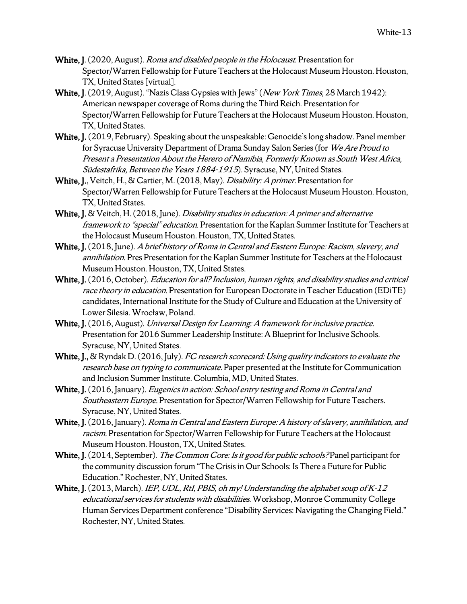- White, J. (2020, August). *Roma and disabled people in the Holocaust*. Presentation for Spector/Warren Fellowship for Future Teachers at the Holocaust Museum Houston. Houston, TX, United States [virtual].
- White, J. (2019, August). "Nazis Class Gypsies with Jews" (New York Times, 28 March 1942): American newspaper coverage of Roma during the Third Reich. Presentation for Spector/Warren Fellowship for Future Teachers at the Holocaust Museum Houston. Houston, TX, United States.
- White, J. (2019, February). Speaking about the unspeakable: Genocide's long shadow. Panel member for Syracuse University Department of Drama Sunday Salon Series (for We Are Proud to Present a Presentation About the Herero of Namibia, Formerly Known as South West Africa, Südestafrika, Between the Years 1884-1915). Syracuse, NY, United States.
- White, J., Veitch, H., & Cartier, M. (2018, May). *Disability: A primer*. Presentation for Spector/Warren Fellowship for Future Teachers at the Holocaust Museum Houston. Houston, TX, United States.
- White, J. & Veitch, H. (2018, June). *Disability studies in education: A primer and alternative* framework to "special" education. Presentation for the Kaplan Summer Institute for Teachers at the Holocaust Museum Houston. Houston, TX, United States.
- White, J. (2018, June). A brief history of Roma in Central and Eastern Europe: Racism, slavery, and annihilation. Pres Presentation for the Kaplan Summer Institute for Teachers at the Holocaust Museum Houston. Houston, TX, United States.
- White, J. (2016, October). Education for all? Inclusion, human rights, and disability studies and critical race theory in education. Presentation for European Doctorate in Teacher Education (EDiTE) candidates, International Institute for the Study of Culture and Education at the University of Lower Silesia. Wrocław, Poland.
- White, J. (2016, August). Universal Design for Learning: A framework for inclusive practice. Presentation for 2016 Summer Leadership Institute: A Blueprint for Inclusive Schools. Syracuse, NY, United States.
- White, J., & Ryndak D. (2016, July). FC research scorecard: Using quality indicators to evaluate the research base on typing to communicate. Paper presented at the Institute for Communication and Inclusion Summer Institute. Columbia, MD, United States.
- White, J. (2016, January). Eugenics in action: School entry testing and Roma in Central and Southeastern Europe. Presentation for Spector/Warren Fellowship for Future Teachers. Syracuse, NY, United States.
- White, J. (2016, January). Roma in Central and Eastern Europe: A history of slavery, annihilation, and racism. Presentation for Spector/Warren Fellowship for Future Teachers at the Holocaust Museum Houston. Houston, TX, United States.
- White, J. (2014, September). The Common Core: Is it good for public schools? Panel participant for the community discussion forum "The Crisis in Our Schools: Is There a Future for Public Education." Rochester, NY, United States.
- White, J. (2013, March). IEP, UDL, Rtl, PBIS, oh my! Understanding the alphabet soup of  $K-12$ educational services for students with disabilities. Workshop, Monroe Community College Human Services Department conference "Disability Services: Navigating the Changing Field." Rochester, NY, United States.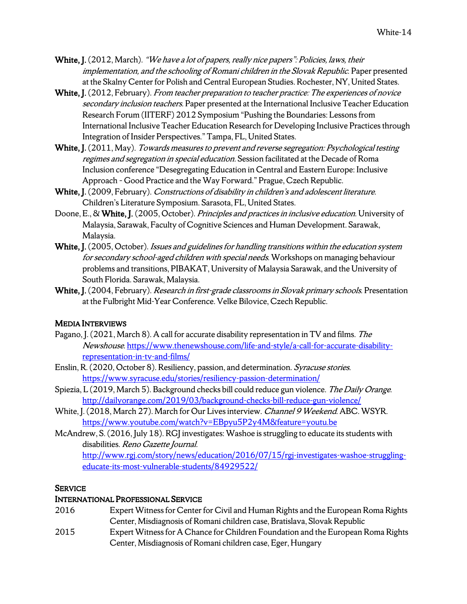- White, J. (2012, March). "We have a lot of papers, really nice papers": Policies, laws, their implementation, and the schooling of Romani children in the Slovak Republic. Paper presented at the Skalny Center for Polish and Central European Studies. Rochester, NY, United States.
- White, J. (2012, February). From teacher preparation to teacher practice: The experiences of novice secondary inclusion teachers. Paper presented at the International Inclusive Teacher Education Research Forum (IITERF) 2012 Symposium "Pushing the Boundaries: Lessons from International Inclusive Teacher Education Research for Developing Inclusive Practices through Integration of Insider Perspectives." Tampa, FL, United States.
- White, J. (2011, May). Towards measures to prevent and reverse segregation: Psychological testing regimes and segregation in special education. Session facilitated at the Decade of Roma Inclusion conference "Desegregating Education in Central and Eastern Europe: Inclusive Approach – Good Practice and the Way Forward." Prague, Czech Republic.
- White, J. (2009, February). Constructions of disability in children's and adolescent literature. Children's Literature Symposium. Sarasota, FL, United States.
- Doone, E., & White, J. (2005, October). Principles and practices in inclusive education. University of Malaysia, Sarawak, Faculty of Cognitive Sciences and Human Development. Sarawak, Malaysia.
- White, J. (2005, October). Issues and guidelines for handling transitions within the education system for secondary school-aged children with special needs. Workshops on managing behaviour problems and transitions, PIBAKAT, University of Malaysia Sarawak, and the University of South Florida. Sarawak, Malaysia.
- White, J. (2004, February). Research in first-grade classrooms in Slovak primary schools. Presentation at the Fulbright Mid-Year Conference. Velke Bilovice, Czech Republic.

# MEDIA INTERVIEWS

- Pagano, J. (2021, March 8). A call for accurate disability representation in TV and films. The Newshouse. https://www.thenewshouse.com/life-and-style/a-call-for-accurate-disabilityrepresentation-in-tv-and-films/
- Enslin, R. (2020, October 8). Resiliency, passion, and determination. Syracuse stories. https://www.syracuse.edu/stories/resiliency-passion-determination/
- Spiezia, L (2019, March 5). Background checks bill could reduce gun violence. The Daily Orange. http://dailyorange.com/2019/03/background-checks-bill-reduce-gun-violence/
- White, J. (2018, March 27). March for Our Lives interview. Channel 9 Weekend. ABC. WSYR. https://www.youtube.com/watch?v=EBpyu5P2y4M&feature=youtu.be
- McAndrew, S. (2016, July 18). RGJ investigates: Washoe is struggling to educate its students with disabilities. Reno Gazette Journal. http://www.rgj.com/story/news/education/2016/07/15/rgj-investigates-washoe-strugglingeducate-its-most-vulnerable-students/84929522/

#### **SERVICE**

## INTERNATIONAL PROFESSIONAL SERVICE

- 2016 Expert Witnessfor Center for Civil and Human Rights and the European Roma Rights Center, Misdiagnosis of Romani children case, Bratislava, Slovak Republic
- 2015 Expert Witnessfor A Chance for Children Foundation and the European Roma Rights Center, Misdiagnosis of Romani children case, Eger, Hungary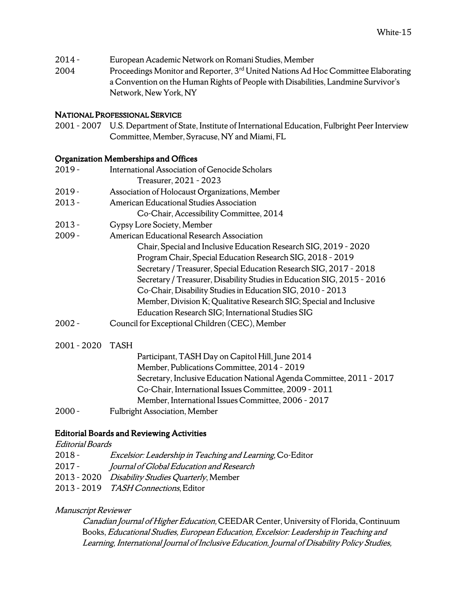- 2014 European Academic Network on Romani Studies, Member
- 2004 Proceedings Monitor and Reporter, 3<sup>rd</sup> United Nations Ad Hoc Committee Elaborating a Convention on the Human Rights of People with Disabilities, Landmine Survivor's Network, New York, NY

#### NATIONAL PROFESSIONAL SERVICE

2001 – 2007 U.S. Department of State, Institute of International Education, Fulbright Peer Interview Committee, Member, Syracuse, NY and Miami, FL

#### Organization Memberships and Offices

| $2019 -$    | International Association of Genocide Scholars                          |
|-------------|-------------------------------------------------------------------------|
|             | Treasurer, 2021 - 2023                                                  |
| $2019 -$    | Association of Holocaust Organizations, Member                          |
| $2013 -$    | American Educational Studies Association                                |
|             | Co-Chair, Accessibility Committee, 2014                                 |
| $2013 -$    | Gypsy Lore Society, Member                                              |
| $2009 -$    | American Educational Research Association                               |
|             | Chair, Special and Inclusive Education Research SIG, 2019 - 2020        |
|             | Program Chair, Special Education Research SIG, 2018 - 2019              |
|             | Secretary / Treasurer, Special Education Research SIG, 2017 - 2018      |
|             | Secretary / Treasurer, Disability Studies in Education SIG, 2015 - 2016 |
|             | Co-Chair, Disability Studies in Education SIG, 2010 - 2013              |
|             | Member, Division K; Qualitative Research SIG; Special and Inclusive     |
|             | Education Research SIG; International Studies SIG                       |
| $2002 -$    | Council for Exceptional Children (CEC), Member                          |
| 2001 - 2020 | <b>TASH</b>                                                             |

# Participant, TASH Day on Capitol Hill, June 2014 Member, Publications Committee, 2014 – 2019 Secretary, Inclusive Education National Agenda Committee, 2011 – 2017 Co-Chair, International Issues Committee, 2009 – 2011 Member, International Issues Committee, 2006 – 2017 2000 – Fulbright Association, Member

## Editorial Boards and Reviewing Activities

# Editorial Boards

- 2018 Excelsior: Leadership in Teaching and Learning, Co-Editor
- 2017 Journal of Global Education and Research
- 2013 2020 Disability Studies Quarterly, Member
- 2013 2019 TASH Connections, Editor

## Manuscript Reviewer

Canadian Journal of Higher Education, CEEDAR Center, University of Florida, Continuum Books, Educational Studies, European Education, Excelsior: Leadership in Teaching and Learning, International Journal of Inclusive Education, Journal of Disability Policy Studies,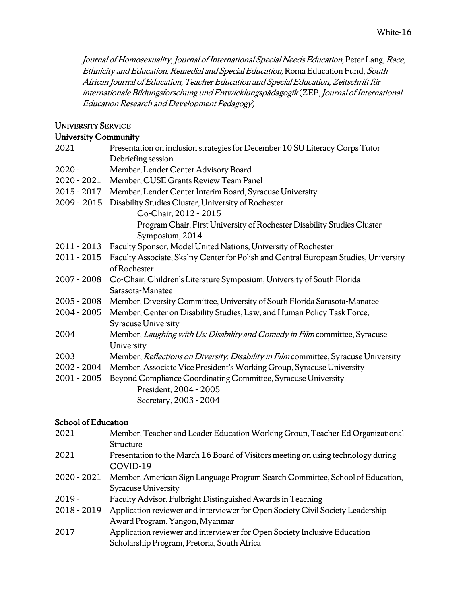Journal of Homosexuality, Journal of International Special Needs Education, Peter Lang, Race, Ethnicity and Education, Remedial and Special Education, Roma Education Fund, South African Journal of Education, Teacher Education and Special Education, Zeitschrift für internationale Bildungsforschung und Entwicklungspädagogik (ZEP, Journal of International Education Research and Development Pedagogy)

#### UNIVERSITY SERVICE

#### University Community

| 2021        | Presentation on inclusion strategies for December 10 SU Literacy Corps Tutor         |
|-------------|--------------------------------------------------------------------------------------|
|             | Debriefing session                                                                   |
| 2020 -      | Member, Lender Center Advisory Board                                                 |
| 2020 - 2021 | Member, CUSE Grants Review Team Panel                                                |
| 2015 - 2017 | Member, Lender Center Interim Board, Syracuse University                             |
| 2009 - 2015 | Disability Studies Cluster, University of Rochester                                  |
|             | Co-Chair, 2012 - 2015                                                                |
|             | Program Chair, First University of Rochester Disability Studies Cluster              |
|             | Symposium, 2014                                                                      |
| 2011 - 2013 | Faculty Sponsor, Model United Nations, University of Rochester                       |
| 2011 - 2015 | Faculty Associate, Skalny Center for Polish and Central European Studies, University |
|             | of Rochester                                                                         |
| 2007 - 2008 | Co-Chair, Children's Literature Symposium, University of South Florida               |
|             | Sarasota-Manatee                                                                     |
| 2005 - 2008 | Member, Diversity Committee, University of South Florida Sarasota-Manatee            |
| 2004 - 2005 | Member, Center on Disability Studies, Law, and Human Policy Task Force,              |
|             | <b>Syracuse University</b>                                                           |
| 2004        | Member, Laughing with Us: Disability and Comedy in Film committee, Syracuse          |
|             | University                                                                           |
| 2003        | Member, Reflections on Diversity: Disability in Film committee, Syracuse University  |
| 2002 - 2004 | Member, Associate Vice President's Working Group, Syracuse University                |
| 2001 - 2005 | Beyond Compliance Coordinating Committee, Syracuse University                        |
|             | President, 2004 - 2005                                                               |
|             | Secretary, 2003 - 2004                                                               |

#### School of Education

| 2021          | Member, Teacher and Leader Education Working Group, Teacher Ed Organizational                 |
|---------------|-----------------------------------------------------------------------------------------------|
|               | Structure                                                                                     |
| 2021          | Presentation to the March 16 Board of Visitors meeting on using technology during<br>COVID-19 |
| $2020 - 2021$ | Member, American Sign Language Program Search Committee, School of Education,                 |
|               | <b>Syracuse University</b>                                                                    |
| $2019 -$      | Faculty Advisor, Fulbright Distinguished Awards in Teaching                                   |
| $2018 - 2019$ | Application reviewer and interviewer for Open Society Civil Society Leadership                |
|               | Award Program, Yangon, Myanmar                                                                |
| 2017          | Application reviewer and interviewer for Open Society Inclusive Education                     |
|               | Scholarship Program, Pretoria, South Africa                                                   |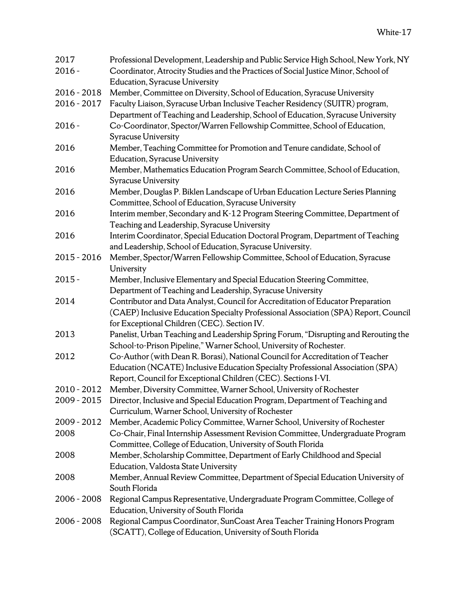| 2017          | Professional Development, Leadership and Public Service High School, New York, NY                                                                               |
|---------------|-----------------------------------------------------------------------------------------------------------------------------------------------------------------|
| $2016 -$      | Coordinator, Atrocity Studies and the Practices of Social Justice Minor, School of                                                                              |
|               | <b>Education, Syracuse University</b>                                                                                                                           |
| 2016 - 2018   | Member, Committee on Diversity, School of Education, Syracuse University                                                                                        |
| $2016 - 2017$ | Faculty Liaison, Syracuse Urban Inclusive Teacher Residency (SUITR) program,<br>Department of Teaching and Leadership, School of Education, Syracuse University |
| $2016 -$      | Co-Coordinator, Spector/Warren Fellowship Committee, School of Education,<br>Syracuse University                                                                |
| 2016          | Member, Teaching Committee for Promotion and Tenure candidate, School of                                                                                        |
|               | <b>Education, Syracuse University</b>                                                                                                                           |
| 2016          | Member, Mathematics Education Program Search Committee, School of Education,                                                                                    |
|               | Syracuse University                                                                                                                                             |
| 2016          | Member, Douglas P. Biklen Landscape of Urban Education Lecture Series Planning                                                                                  |
|               | Committee, School of Education, Syracuse University                                                                                                             |
| 2016          | Interim member, Secondary and K-12 Program Steering Committee, Department of                                                                                    |
|               | Teaching and Leadership, Syracuse University                                                                                                                    |
| 2016          | Interim Coordinator, Special Education Doctoral Program, Department of Teaching<br>and Leadership, School of Education, Syracuse University.                    |
| $2015 - 2016$ | Member, Spector/Warren Fellowship Committee, School of Education, Syracuse                                                                                      |
|               | University                                                                                                                                                      |
| $2015 -$      | Member, Inclusive Elementary and Special Education Steering Committee,                                                                                          |
|               | Department of Teaching and Leadership, Syracuse University                                                                                                      |
| 2014          | Contributor and Data Analyst, Council for Accreditation of Educator Preparation                                                                                 |
|               | (CAEP) Inclusive Education Specialty Professional Association (SPA) Report, Council<br>for Exceptional Children (CEC). Section IV.                              |
| 2013          | Panelist, Urban Teaching and Leadership Spring Forum, "Disrupting and Rerouting the                                                                             |
|               | School-to-Prison Pipeline," Warner School, University of Rochester.                                                                                             |
| 2012          | Co-Author (with Dean R. Borasi), National Council for Accreditation of Teacher                                                                                  |
|               | Education (NCATE) Inclusive Education Specialty Professional Association (SPA)                                                                                  |
|               | Report, Council for Exceptional Children (CEC). Sections I-VI.                                                                                                  |
| 2010 - 2012   | Member, Diversity Committee, Warner School, University of Rochester                                                                                             |
| $2009 - 2015$ | Director, Inclusive and Special Education Program, Department of Teaching and                                                                                   |
|               | Curriculum, Warner School, University of Rochester                                                                                                              |
| 2009 - 2012   | Member, Academic Policy Committee, Warner School, University of Rochester                                                                                       |
| 2008          | Co-Chair, Final Internship Assessment Revision Committee, Undergraduate Program                                                                                 |
|               | Committee, College of Education, University of South Florida                                                                                                    |
| 2008          | Member, Scholarship Committee, Department of Early Childhood and Special                                                                                        |
|               | Education, Valdosta State University                                                                                                                            |
| 2008          | Member, Annual Review Committee, Department of Special Education University of                                                                                  |
|               | South Florida                                                                                                                                                   |
| $2006 - 2008$ | Regional Campus Representative, Undergraduate Program Committee, College of                                                                                     |
|               | Education, University of South Florida                                                                                                                          |
| $2006 - 2008$ | Regional Campus Coordinator, SunCoast Area Teacher Training Honors Program                                                                                      |
|               | (SCATT), College of Education, University of South Florida                                                                                                      |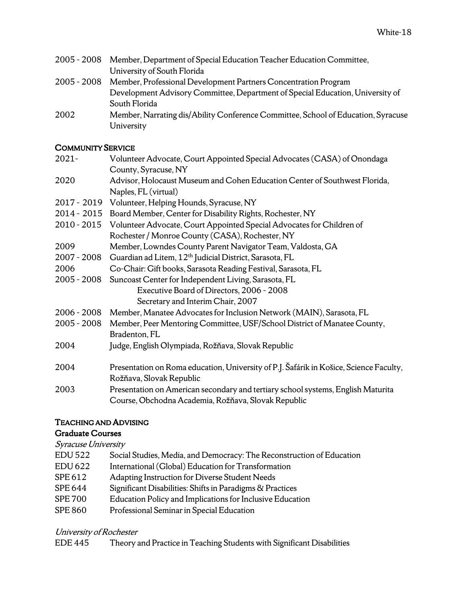| $2005 - 2008$ | Member, Department of Special Education Teacher Education Committee,              |
|---------------|-----------------------------------------------------------------------------------|
|               | University of South Florida                                                       |
| $2005 - 2008$ | Member, Professional Development Partners Concentration Program                   |
|               | Development Advisory Committee, Department of Special Education, University of    |
|               | South Florida                                                                     |
| 2002          | Member, Narrating dis/Ability Conference Committee, School of Education, Syracuse |
|               | University                                                                        |

# COMMUNITY SERVICE

| $2021 -$      | Volunteer Advocate, Court Appointed Special Advocates (CASA) of Onondaga               |
|---------------|----------------------------------------------------------------------------------------|
|               | County, Syracuse, NY                                                                   |
| 2020          | Advisor, Holocaust Museum and Cohen Education Center of Southwest Florida,             |
|               | Naples, FL (virtual)                                                                   |
| 2017 - 2019   | Volunteer, Helping Hounds, Syracuse, NY                                                |
| 2014 - 2015   | Board Member, Center for Disability Rights, Rochester, NY                              |
| $2010 - 2015$ | Volunteer Advocate, Court Appointed Special Advocates for Children of                  |
|               | Rochester / Monroe County (CASA), Rochester, NY                                        |
| 2009          | Member, Lowndes County Parent Navigator Team, Valdosta, GA                             |
| 2007 - 2008   | Guardian ad Litem, 12 <sup>th</sup> Judicial District, Sarasota, FL                    |
| 2006          | Co-Chair: Gift books, Sarasota Reading Festival, Sarasota, FL                          |
| $2005 - 2008$ | Suncoast Center for Independent Living, Sarasota, FL                                   |
|               | Executive Board of Directors, 2006 - 2008                                              |
|               | Secretary and Interim Chair, 2007                                                      |
| $2006 - 2008$ | Member, Manatee Advocates for Inclusion Network (MAIN), Sarasota, FL                   |
| $2005 - 2008$ | Member, Peer Mentoring Committee, USF/School District of Manatee County,               |
|               | Bradenton, FL                                                                          |
| 2004          | Judge, English Olympiada, Rožňava, Slovak Republic                                     |
| 2004          | Presentation on Roma education, University of P.J. Šafárik in Košice, Science Faculty, |
|               | Rožňava, Slovak Republic                                                               |
| 2003          | Presentation on American secondary and tertiary school systems, English Maturita       |
|               | Course, Obchodna Academia, Rožňava, Slovak Republic                                    |

# TEACHING AND ADVISING

## Graduate Courses

#### Syracuse University

| <b>EDU 522</b> | Social Studies, Media, and Democracy: The Reconstruction of Education |
|----------------|-----------------------------------------------------------------------|
| EDU 622        | International (Global) Education for Transformation                   |
| SPE 612        | Adapting Instruction for Diverse Student Needs                        |
| <b>SPE 644</b> | Significant Disabilities: Shifts in Paradigms & Practices             |
| <b>SPE 700</b> | Education Policy and Implications for Inclusive Education             |
| SPE 860        | Professional Seminar in Special Education                             |
|                |                                                                       |

# University of Rochester

| EDE 445 |  | Theory and Practice in Teaching Students with Significant Disabilities |  |  |
|---------|--|------------------------------------------------------------------------|--|--|
|---------|--|------------------------------------------------------------------------|--|--|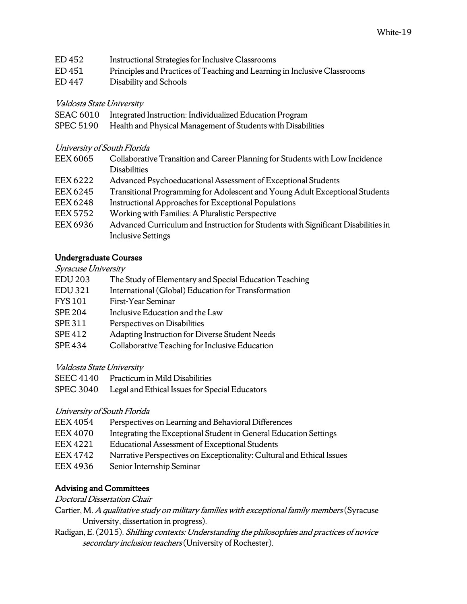- ED 452 Instructional Strategies for Inclusive Classrooms
- ED 451 Principles and Practices of Teaching and Learning in Inclusive Classrooms
- ED 447 Disability and Schools

## Valdosta State University

- SEAC 6010 Integrated Instruction: Individualized Education Program
- SPEC 5190 Health and Physical Management of Students with Disabilities

## University of South Florida

- EEX 6065 Collaborative Transition and Career Planning for Students with Low Incidence **Disabilities**
- EEX 6222 Advanced Psychoeducational Assessment of Exceptional Students
- EEX 6245 Transitional Programming for Adolescent and Young Adult Exceptional Students
- EEX 6248 Instructional Approaches for Exceptional Populations
- EEX 5752 Working with Families: A Pluralistic Perspective
- EEX 6936 Advanced Curriculum and Instruction for Students with Significant Disabilities in Inclusive Settings

# Undergraduate Courses

#### Syracuse University

- EDU 203 The Study of Elementary and Special Education Teaching
- EDU 321 International (Global) Education for Transformation
- FYS 101 First-Year Seminar
- SPE 204 Inclusive Education and the Law
- SPE 311 Perspectives on Disabilities
- SPE 412 Adapting Instruction for Diverse Student Needs
- SPE 434 Collaborative Teaching for Inclusive Education

## Valdosta State University

- SEEC 4140 Practicum in Mild Disabilities
- SPEC 3040 Legal and Ethical Issues for Special Educators

## University of South Florida

- EEX 4054 Perspectives on Learning and Behavioral Differences
- EEX 4070 Integrating the Exceptional Student in General Education Settings
- EEX 4221 Educational Assessment of Exceptional Students
- EEX 4742 Narrative Perspectives on Exceptionality: Cultural and Ethical Issues
- EEX 4936 Senior Internship Seminar

# Advising and Committees

#### Doctoral Dissertation Chair

- Cartier, M. A qualitative study on military families with exceptional family members(Syracuse University, dissertation in progress).
- Radigan, E. (2015). Shifting contexts: Understanding the philosophies and practices of novice secondary inclusion teachers (University of Rochester).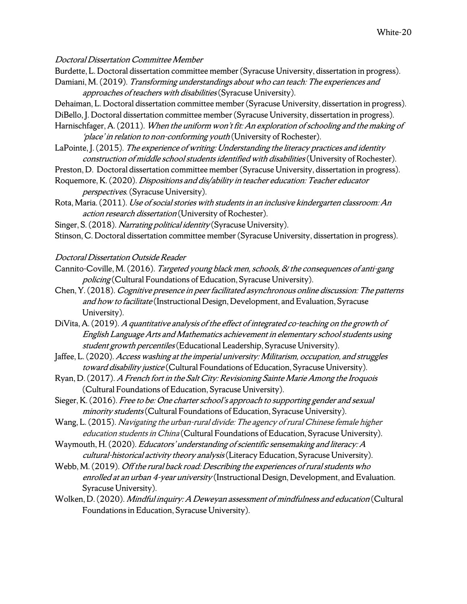Doctoral Dissertation Committee Member

- Burdette, L. Doctoral dissertation committee member (Syracuse University, dissertation in progress).
- Damiani, M. (2019). Transforming understandings about who can teach: The experiences and approaches of teachers with disabilities(Syracuse University).
- Dehaiman, L. Doctoral dissertation committee member (Syracuse University, dissertation in progress).
- DiBello, J. Doctoral dissertation committee member (Syracuse University, dissertation in progress).
- Harnischfager, A. (2011). When the uniform won't fit: An exploration of schooling and the making of 'place' in relation to non-conforming youth (University of Rochester).
- LaPointe, J. (2015). The experience of writing: Understanding the literacy practices and identity construction of middle school students identified with disabilities(University of Rochester).
- Preston, D. Doctoral dissertation committee member (Syracuse University, dissertation in progress).
- Roquemore, K. (2020). Dispositions and dis/ability in teacher education: Teacher educator perspectives. (Syracuse University).
- Rota, Maria. (2011). Use of social stories with students in an inclusive kindergarten classroom: An action research dissertation (University of Rochester).
- Singer, S. (2018). Narrating political identity (Syracuse University).
- Stinson, C. Doctoral dissertation committee member (Syracuse University, dissertation in progress).

#### Doctoral Dissertation Outside Reader

- Cannito-Coville, M. (2016). Targeted young black men, schools, & the consequences of anti-gang policing (Cultural Foundations of Education, Syracuse University).
- Chen, Y. (2018). Cognitive presence in peer facilitated asynchronous online discussion: The patterns and how to facilitate (Instructional Design, Development, and Evaluation, Syracuse University).
- DiVita, A. (2019). A quantitative analysis of the effect of integrated co-teaching on the growth of English Language Arts and Mathematics achievement in elementary school students using student growth percentiles (Educational Leadership, Syracuse University).
- Jaffee, L. (2020). Access washing at the imperial university: Militarism, occupation, and struggles toward disability justice (Cultural Foundations of Education, Syracuse University).
- Ryan, D. (2017). A French fort in the Salt City: Revisioning Sainte Marie Among the Iroquois (Cultural Foundations of Education, Syracuse University).
- Sieger, K. (2016). Free to be: One charter school's approach to supporting gender and sexual minority students (Cultural Foundations of Education, Syracuse University).
- Wang, L. (2015). Navigating the urban-rural divide: The agency of rural Chinese female higher education students in China (Cultural Foundations of Education, Syracuse University).
- Waymouth, H. (2020). Educators' understanding of scientific sensemaking and literacy: A cultural-historical activity theory analysis (Literacy Education, Syracuse University).
- Webb, M. (2019). Off the rural back road: Describing the experiences of rural students who enrolled at an urban 4-year university (Instructional Design, Development, and Evaluation. Syracuse University).
- Wolken, D. (2020). Mindful inquiry: A Deweyan assessment of mindfulness and education (Cultural Foundations in Education, Syracuse University).